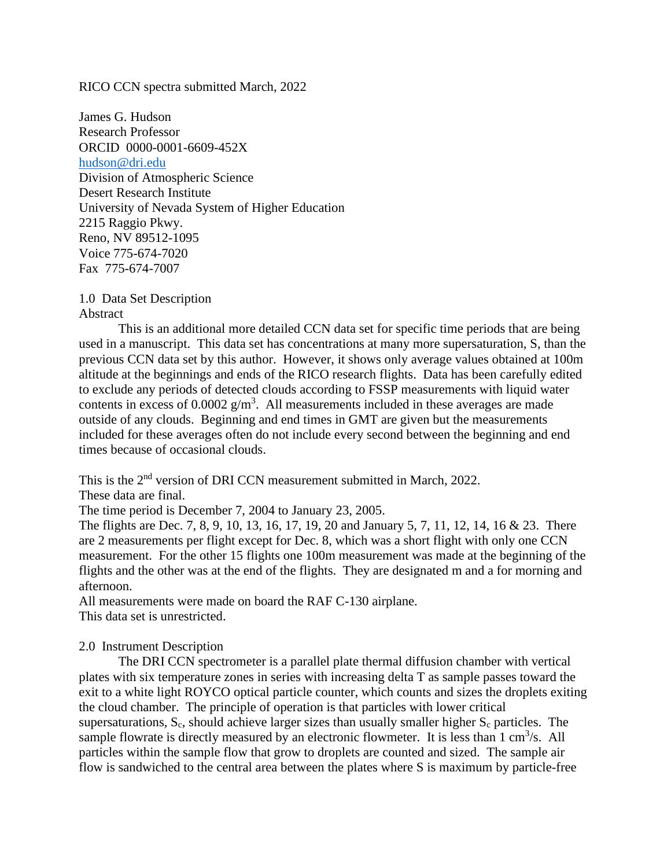RICO CCN spectra submitted March, 2022

James G. Hudson Research Professor ORCID 0000-0001-6609-452X [hudson@dri.edu](mailto:hudson@dri.edu) Division of Atmospheric Science Desert Research Institute University of Nevada System of Higher Education 2215 Raggio Pkwy. Reno, NV 89512-1095 Voice 775-674-7020 Fax 775-674-7007

1.0 Data Set Description Abstract

This is an additional more detailed CCN data set for specific time periods that are being used in a manuscript. This data set has concentrations at many more supersaturation, S, than the previous CCN data set by this author. However, it shows only average values obtained at 100m altitude at the beginnings and ends of the RICO research flights. Data has been carefully edited to exclude any periods of detected clouds according to FSSP measurements with liquid water contents in excess of  $0.0002$  g/m<sup>3</sup>. All measurements included in these averages are made outside of any clouds. Beginning and end times in GMT are given but the measurements included for these averages often do not include every second between the beginning and end times because of occasional clouds.

This is the 2<sup>nd</sup> version of DRI CCN measurement submitted in March, 2022.

These data are final.

The time period is December 7, 2004 to January 23, 2005.

The flights are Dec. 7, 8, 9, 10, 13, 16, 17, 19, 20 and January 5, 7, 11, 12, 14, 16 & 23. There are 2 measurements per flight except for Dec. 8, which was a short flight with only one CCN measurement. For the other 15 flights one 100m measurement was made at the beginning of the flights and the other was at the end of the flights. They are designated m and a for morning and afternoon.

All measurements were made on board the RAF C-130 airplane. This data set is unrestricted.

## 2.0 Instrument Description

The DRI CCN spectrometer is a parallel plate thermal diffusion chamber with vertical plates with six temperature zones in series with increasing delta T as sample passes toward the exit to a white light ROYCO optical particle counter, which counts and sizes the droplets exiting the cloud chamber. The principle of operation is that particles with lower critical supersaturations,  $S_c$ , should achieve larger sizes than usually smaller higher  $S_c$  particles. The sample flowrate is directly measured by an electronic flowmeter. It is less than  $1 \text{ cm}^3/\text{s}$ . All particles within the sample flow that grow to droplets are counted and sized. The sample air flow is sandwiched to the central area between the plates where S is maximum by particle-free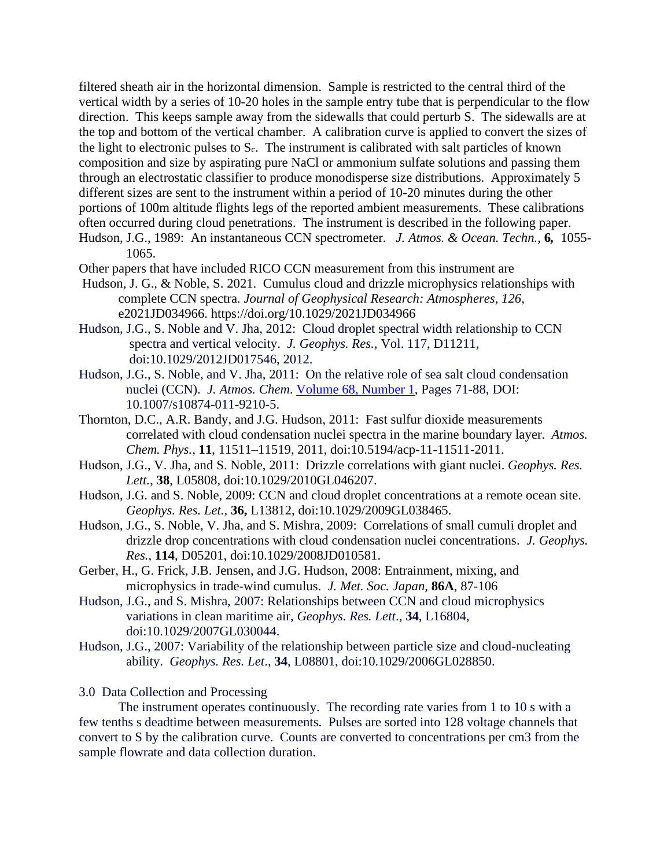filtered sheath air in the horizontal dimension. Sample is restricted to the central third of the vertical width by a series of 10-20 holes in the sample entry tube that is perpendicular to the flow direction. This keeps sample away from the sidewalls that could perturb S. The sidewalls are at the top and bottom of the vertical chamber. A calibration curve is applied to convert the sizes of the light to electronic pulses to  $S_c$ . The instrument is calibrated with salt particles of known composition and size by aspirating pure NaCl or ammonium sulfate solutions and passing them through an electrostatic classifier to produce monodisperse size distributions. Approximately 5 different sizes are sent to the instrument within a period of 10-20 minutes during the other portions of 100m altitude flights legs of the reported ambient measurements. These calibrations often occurred during cloud penetrations. The instrument is described in the following paper. Hudson, J.G., 1989: An instantaneous CCN spectrometer. *J. Atmos. & Ocean. Techn.,* **6***,* 1055- 1065.

- Other papers that have included RICO CCN measurement from this instrument are
- Hudson, J. G., & Noble, S. 2021. Cumulus cloud and drizzle microphysics relationships with complete CCN spectra. *Journal of Geophysical Research: Atmospheres*, *126*, e2021JD034966. https://doi.org/10.1029/2021JD034966
- Hudson, J.G., S. Noble and V. Jha, 2012: Cloud droplet spectral width relationship to CCN spectra and vertical velocity. *J. Geophys. Res.*, Vol. 117, D11211, doi:10.1029/2012JD017546, 2012.
- Hudson, J.G., S. Noble, and V. Jha, 2011: On the relative role of sea salt cloud condensation nuclei (CCN). *J. Atmos. Chem*. [Volume 68, Number 1,](http://www.springerlink.com/content/0167-7764/68/1/) Pages 71-88, DOI: 10.1007/s10874-011-9210-5.
- Thornton, D.C., A.R. Bandy, and J.G. Hudson, 2011: Fast sulfur dioxide measurements correlated with cloud condensation nuclei spectra in the marine boundary layer. *Atmos. Chem. Phys.*, **11**, 11511–11519, 2011, doi:10.5194/acp-11-11511-2011.
- Hudson, J.G., V. Jha, and S. Noble, 2011: Drizzle correlations with giant nuclei. *Geophys. Res. Lett.*, **38**, L05808, doi:10.1029/2010GL046207.
- Hudson, J.G. and S. Noble, 2009: CCN and cloud droplet concentrations at a remote ocean site. *Geophys. Res. Let.,* **36,** L13812, doi:10.1029/2009GL038465.
- Hudson, J.G., S. Noble, V. Jha, and S. Mishra, 2009: Correlations of small cumuli droplet and drizzle drop concentrations with cloud condensation nuclei concentrations. *J. Geophys. Res.*, **114**, D05201, doi:10.1029/2008JD010581.
- Gerber, H., G. Frick, J.B. Jensen, and J.G. Hudson, 2008: Entrainment, mixing, and microphysics in trade-wind cumulus. *J. Met. Soc. Japan,* **86A**, 87-106
- Hudson, J.G., and S. Mishra, 2007: Relationships between CCN and cloud microphysics variations in clean maritime air, *Geophys. Res. Lett*., **34**, L16804, doi:10.1029/2007GL030044.
- Hudson, J.G., 2007: Variability of the relationship between particle size and cloud-nucleating ability. *Geophys. Res. Let*., **34**, L08801, doi:10.1029/2006GL028850.

## 3.0 Data Collection and Processing

The instrument operates continuously. The recording rate varies from 1 to 10 s with a few tenths s deadtime between measurements. Pulses are sorted into 128 voltage channels that convert to S by the calibration curve. Counts are converted to concentrations per cm3 from the sample flowrate and data collection duration.